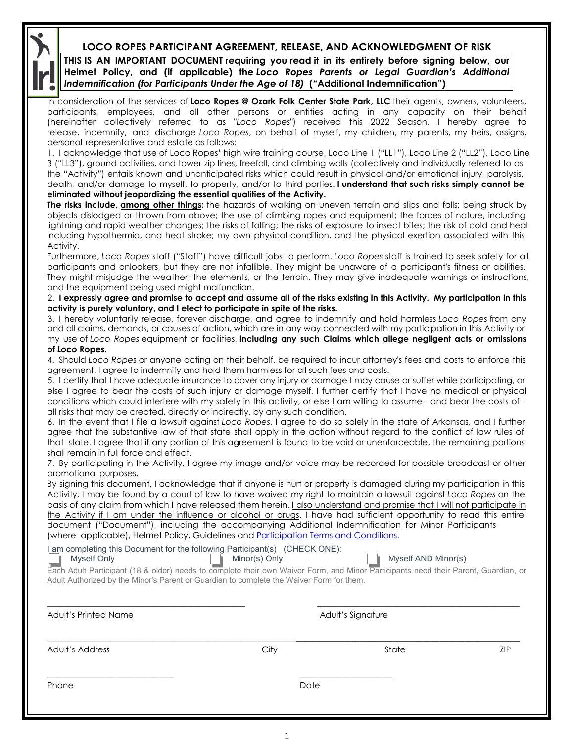## **LOCO ROPES PARTICIPANT AGREEMENT, RELEASE, AND ACKNOWLEDGMENT OF RISK**

**THIS IS AN IMPORTANT DOCUMENT requiring you read it in its entirety before signing below, our Helmet Policy, and (if applicable) the** *Loco Ropes Parents or Legal Guardian's Additional Indemnification (for Participants Under the Age of 18)* **("Additional Indemnification")**

In consideration of the services of **Loco Ropes @ Ozark Folk Center State Park, LLC** their agents, owners, volunteers, participants, employees, and all other persons or entities acting in any capacity on their behalf (hereinafter collectively referred to as "*Loco Ropes*") received this 2022 Season, I hereby agree to release, indemnify, and discharge *Loco Ropes*, on behalf of myself, my children, my parents, my heirs, assigns, personal representative and estate as follows:

1. I acknowledge that use of Loco Ropes' high wire training course, Loco Line 1 ("LL1"), Loco Line 2 ("LL2"), Loco Line 3 ("LL3"), ground activities, and tower zip lines, freefall, and climbing walls (collectively and individually referred to as the "Activity") entails known and unanticipated risks which could result in physical and/or emotional injury, paralysis, death, and/or damage to myself, to property, and/or to third parties. **I understand that such risks simply cannot be eliminated without jeopardizing the essential qualities of the Activity.**

**The risks include, among other things:** the hazards of walking on uneven terrain and slips and falls; being struck by objects dislodged or thrown from above; the use of climbing ropes and equipment; the forces of nature, including lightning and rapid weather changes; the risks of falling; the risks of exposure to insect bites; the risk of cold and heat including hypothermia, and heat stroke; my own physical condition, and the physical exertion associated with this Activity.

Furthermore, *Loco Ropes* staff ("Staff") have difficult jobs to perform. *Loco Ropes* staff is trained to seek safety for all participants and onlookers, but they are not infallible. They might be unaware of a participant's fitness or abilities. They might misjudge the weather, the elements, or the terrain. They may give inadequate warnings or instructions, and the equipment being used might malfunction.

2. **I expressly agree and promise to accept and assume all of the risks existing in this Activity. My participation in this activity is purely voluntary, and I elect to participate in spite of the risks.**

3. I hereby voluntarily release, forever discharge, and agree to indemnify and hold harmless *Loco Ropes* from any and all claims, demands, or causes of action, which are in any way connected with my participation in this Activity or my use of *Loco Ropes* equipment or facilities, **including any such Claims which allege negligent acts or omissions of** *Loco* **Ropes.**

4. Should *Loco Ropes* or anyone acting on their behalf, be required to incur attorney's fees and costs to enforce this agreement, I agree to indemnify and hold them harmless for all such fees and costs.

5. I certify that I have adequate insurance to cover any injury or damage I may cause or suffer while participating, or else I agree to bear the costs of such injury or damage myself. I further certify that I have no medical or physical conditions which could interfere with my safety in this activity, or else I am willing to assume - and bear the costs of all risks that may be created, directly or indirectly, by any such condition.

6. In the event that I file a lawsuit against *Loco Ropes*, I agree to do so solely in the state of Arkansas, and I further agree that the substantive law of that state shall apply in the action without regard to the conflict of law rules of that state. I agree that if any portion of this agreement is found to be void or unenforceable, the remaining portions shall remain in full force and effect.

7. By participating in the Activity, I agree my image and/or voice may be recorded for possible broadcast or other promotional purposes.

By signing this document, I acknowledge that if anyone is hurt or property is damaged during my participation in this Activity, I may be found by a court of law to have waived my right to maintain a lawsuit against *Loco Ropes* on the basis of any claim from which I have released them herein. I also understand and promise that I will not participate in the Activity if I am under the influence or alcohol or drugs. I have had sufficient opportunity to read this entire document ("Document"), including the accompanying Additional Indemnification for Minor Participants (where applicable), Helmet Policy, Guidelines and [Participation Terms and Conditions.](http://locoropes.com/Loco%20Ropes%20Terms%20and%20Conditions.pdf)

I am completing this Document for the following Participant(s) (CHECK ONE):

Myself Only **Muself And Minore And Myself And Myself AND Minor(s)** Only Myself AND Minor(s)

Each Adult Participant (18 & older) needs to complete their own Waiver Form, and Minor Participants need their Parent, Guardian, or Adult Authorized by the Minor's Parent or Guardian to complete the Waiver Form for them.

| Adult's Printed Name | Adult's Signature |       |            |  |
|----------------------|-------------------|-------|------------|--|
| Adult's Address      | City              | State | <b>ZIP</b> |  |
| Phone                | Date              |       |            |  |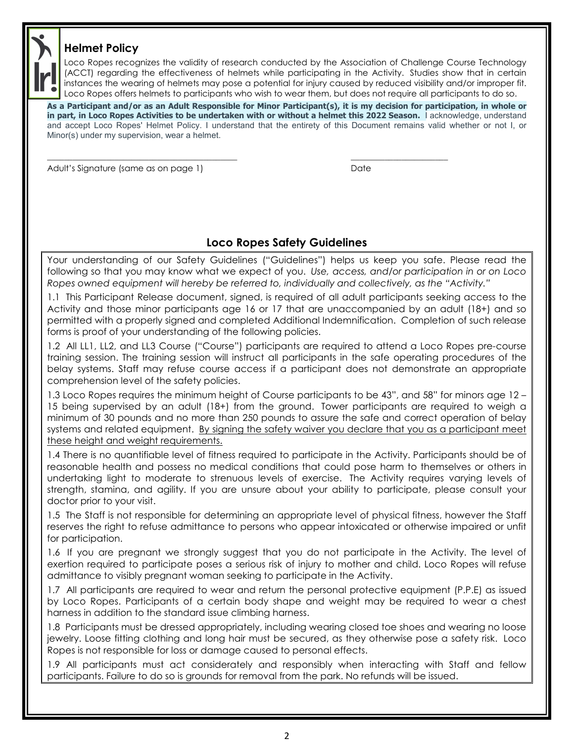## **Helmet Policy**



Loco Ropes recognizes the validity of research conducted by the Association of Challenge Course Technology (ACCT) regarding the effectiveness of helmets while participating in the Activity. Studies show that in certain instances the wearing of helmets may pose a potential for injury caused by reduced visibility and/or improper fit. Loco Ropes offers helmets to participants who wish to wear them, but does not require all participants to do so.

**As a Participant and/or as an Adult Responsible for Minor Participant(s), it is my decision for participation, in whole or in part, in Loco Ropes Activities to be undertaken with or without a helmet this 2022 Season.** I acknowledge, understand and accept Loco Ropes' Helmet Policy. I understand that the entirety of this Document remains valid whether or not I, or Minor(s) under my supervision, wear a helmet.

 $\overline{\phantom{a}}$  , and the contribution of the contribution of the contribution of the contribution of the contribution of the contribution of the contribution of the contribution of the contribution of the contribution of the

Adult's Signature (same as on page 1) and the contract of the Date of Date

## **Loco Ropes Safety Guidelines**

Your understanding of our Safety Guidelines ("Guidelines") helps us keep you safe. Please read the following so that you may know what we expect of you. *Use, access, and/or participation in or on Loco Ropes owned equipment will hereby be referred to, individually and collectively, as the "Activity."*

1.1 This Participant Release document, signed, is required of all adult participants seeking access to the Activity and those minor participants age 16 or 17 that are unaccompanied by an adult (18+) and so permitted with a properly signed and completed Additional Indemnification. Completion of such release forms is proof of your understanding of the following policies.

1.2 All LL1, LL2, and LL3 Course ("Course") participants are required to attend a Loco Ropes pre-course training session. The training session will instruct all participants in the safe operating procedures of the belay systems. Staff may refuse course access if a participant does not demonstrate an appropriate comprehension level of the safety policies.

1.3 Loco Ropes requires the minimum height of Course participants to be 43", and 58" for minors age 12 – 15 being supervised by an adult (18+) from the ground. Tower participants are required to weigh a minimum of 30 pounds and no more than 250 pounds to assure the safe and correct operation of belay systems and related equipment. By signing the safety waiver you declare that you as a participant meet these height and weight requirements.

1.4 There is no quantifiable level of fitness required to participate in the Activity. Participants should be of reasonable health and possess no medical conditions that could pose harm to themselves or others in undertaking light to moderate to strenuous levels of exercise. The Activity requires varying levels of strength, stamina, and agility. If you are unsure about your ability to participate, please consult your doctor prior to your visit.

1.5 The Staff is not responsible for determining an appropriate level of physical fitness, however the Staff reserves the right to refuse admittance to persons who appear intoxicated or otherwise impaired or unfit for participation.

1.6 If you are pregnant we strongly suggest that you do not participate in the Activity. The level of exertion required to participate poses a serious risk of injury to mother and child. Loco Ropes will refuse admittance to visibly pregnant woman seeking to participate in the Activity.

1.7 All participants are required to wear and return the personal protective equipment (P.P.E) as issued by Loco Ropes. Participants of a certain body shape and weight may be required to wear a chest harness in addition to the standard issue climbing harness.

1.8 Participants must be dressed appropriately, including wearing closed toe shoes and wearing no loose jewelry. Loose fitting clothing and long hair must be secured, as they otherwise pose a safety risk. Loco Ropes is not responsible for loss or damage caused to personal effects.

1.9 All participants must act considerately and responsibly when interacting with Staff and fellow participants. Failure to do so is grounds for removal from the park. No refunds will be issued.